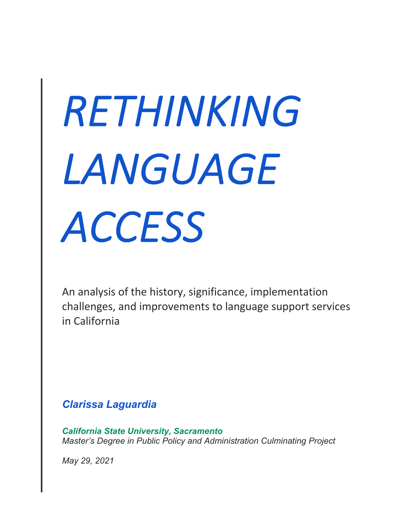# *RETHINKING LANGUAGE ACCESS*

An analysis of the history, significance, implementation challenges, and improvements to language support services in California

*Clarissa Laguardia*

*California State University, Sacramento Master's Degree in Public Policy and Administration Culminating Project* 

*May 29, 2021*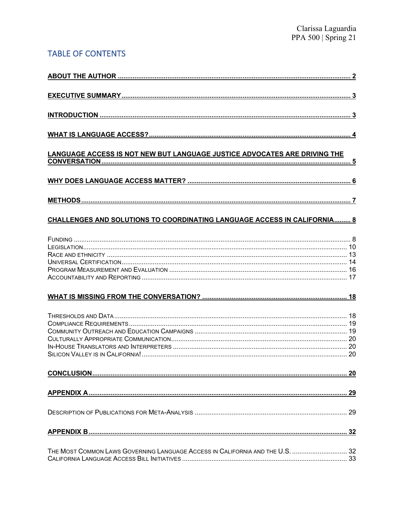# TABLE OF CONTENTS

| LANGUAGE ACCESS IS NOT NEW BUT LANGUAGE JUSTICE ADVOCATES ARE DRIVING THE     |  |
|-------------------------------------------------------------------------------|--|
|                                                                               |  |
|                                                                               |  |
| CHALLENGES AND SOLUTIONS TO COORDINATING LANGUAGE ACCESS IN CALIFORNIA 8      |  |
|                                                                               |  |
|                                                                               |  |
|                                                                               |  |
|                                                                               |  |
|                                                                               |  |
|                                                                               |  |
|                                                                               |  |
|                                                                               |  |
|                                                                               |  |
|                                                                               |  |
|                                                                               |  |
|                                                                               |  |
|                                                                               |  |
| THE MOST COMMON LAWS GOVERNING LANGUAGE ACCESS IN CALIFORNIA AND THE U.S.  32 |  |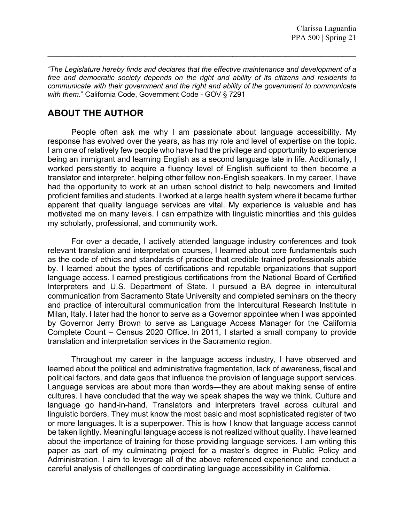*"The Legislature hereby finds and declares that the effective maintenance and development of a free and democratic society depends on the right and ability of its citizens and residents to communicate with their government and the right and ability of the government to communicate with them*." California Code, Government Code - GOV § 7291

 $\mathcal{L}_\text{max} = \mathcal{L}_\text{max} = \mathcal{L}_\text{max} = \mathcal{L}_\text{max} = \mathcal{L}_\text{max} = \mathcal{L}_\text{max} = \mathcal{L}_\text{max} = \mathcal{L}_\text{max} = \mathcal{L}_\text{max} = \mathcal{L}_\text{max} = \mathcal{L}_\text{max} = \mathcal{L}_\text{max} = \mathcal{L}_\text{max} = \mathcal{L}_\text{max} = \mathcal{L}_\text{max} = \mathcal{L}_\text{max} = \mathcal{L}_\text{max} = \mathcal{L}_\text{max} = \mathcal{$ 

# **ABOUT THE AUTHOR**

People often ask me why I am passionate about language accessibility. My response has evolved over the years, as has my role and level of expertise on the topic. I am one of relatively few people who have had the privilege and opportunity to experience being an immigrant and learning English as a second language late in life. Additionally, I worked persistently to acquire a fluency level of English sufficient to then become a translator and interpreter, helping other fellow non-English speakers. In my career, I have had the opportunity to work at an urban school district to help newcomers and limited proficient families and students. I worked at a large health system where it became further apparent that quality language services are vital. My experience is valuable and has motivated me on many levels. I can empathize with linguistic minorities and this guides my scholarly, professional, and community work.

For over a decade, I actively attended language industry conferences and took relevant translation and interpretation courses, I learned about core fundamentals such as the code of ethics and standards of practice that credible trained professionals abide by. I learned about the types of certifications and reputable organizations that support language access. I earned prestigious certifications from the National Board of Certified Interpreters and U.S. Department of State. I pursued a BA degree in intercultural communication from Sacramento State University and completed seminars on the theory and practice of intercultural communication from the Intercultural Research Institute in Milan, Italy. I later had the honor to serve as a Governor appointee when I was appointed by Governor Jerry Brown to serve as Language Access Manager for the California Complete Count – Census 2020 Office. In 2011, I started a small company to provide translation and interpretation services in the Sacramento region.

Throughout my career in the language access industry, I have observed and learned about the political and administrative fragmentation, lack of awareness, fiscal and political factors, and data gaps that influence the provision of language support services. Language services are about more than words—they are about making sense of entire cultures. I have concluded that the way we speak shapes the way we think. Culture and language go hand-in-hand. Translators and interpreters travel across cultural and linguistic borders. They must know the most basic and most sophisticated register of two or more languages. It is a superpower. This is how I know that language access cannot be taken lightly. Meaningful language access is not realized without quality. I have learned about the importance of training for those providing language services. I am writing this paper as part of my culminating project for a master's degree in Public Policy and Administration. I aim to leverage all of the above referenced experience and conduct a careful analysis of challenges of coordinating language accessibility in California.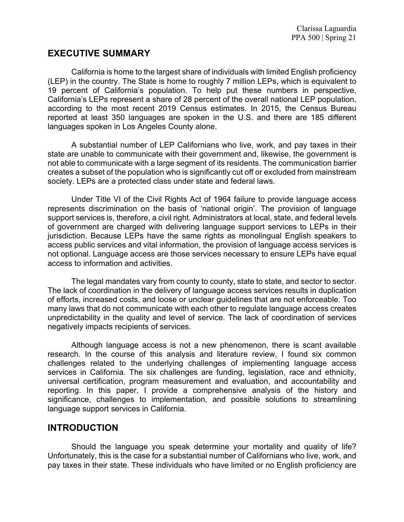# **EXECUTIVE SUMMARY**

California is home to the largest share of individuals with limited English proficiency (LEP) in the country. The State is home to roughly 7 million LEPs, which is equivalent to 19 percent of California's population. To help put these numbers in perspective, California's LEPs represent a share of 28 percent of the overall national LEP population, according to the most recent 2019 Census estimates. In 2015, the Census Bureau reported at least 350 languages are spoken in the U.S. and there are 185 different languages spoken in Los Angeles County alone.

A substantial number of LEP Californians who live, work, and pay taxes in their state are unable to communicate with their government and, likewise, the government is not able to communicate with a large segment of its residents. The communication barrier creates a subset of the population who is significantly cut off or excluded from mainstream society. LEPs are a protected class under state and federal laws.

Under Title VI of the Civil Rights Act of 1964 failure to provide language access represents discrimination on the basis of 'national origin'. The provision of language support services is, therefore, a civil right. Administrators at local, state, and federal levels of government are charged with delivering language support services to LEPs in their jurisdiction. Because LEPs have the same rights as monolingual English speakers to access public services and vital information, the provision of language access services is not optional. Language access are those services necessary to ensure LEPs have equal access to information and activities.

The legal mandates vary from county to county, state to state, and sector to sector. The lack of coordination in the delivery of language access services results in duplication of efforts, increased costs, and loose or unclear guidelines that are not enforceable. Too many laws that do not communicate with each other to regulate language access creates unpredictability in the quality and level of service. The lack of coordination of services negatively impacts recipients of services.

Although language access is not a new phenomenon, there is scant available research. In the course of this analysis and literature review, I found six common challenges related to the underlying challenges of implementing language access services in California. The six challenges are funding, legislation, race and ethnicity, universal certification, program measurement and evaluation, and accountability and reporting. In this paper, I provide a comprehensive analysis of the history and significance, challenges to implementation, and possible solutions to streamlining language support services in California.

# **INTRODUCTION**

Should the language you speak determine your mortality and quality of life? Unfortunately, this is the case for a substantial number of Californians who live, work, and pay taxes in their state. These individuals who have limited or no English proficiency are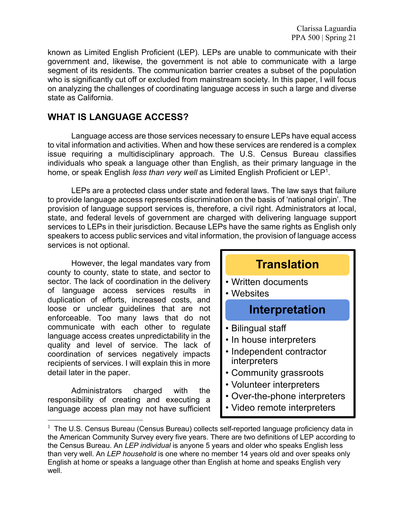known as Limited English Proficient (LEP). LEPs are unable to communicate with their government and, likewise, the government is not able to communicate with a large segment of its residents. The communication barrier creates a subset of the population who is significantly cut off or excluded from mainstream society. In this paper, I will focus on analyzing the challenges of coordinating language access in such a large and diverse state as California.

# **WHAT IS LANGUAGE ACCESS?**

Language access are those services necessary to ensure LEPs have equal access to vital information and activities. When and how these services are rendered is a complex issue requiring a multidisciplinary approach. The U.S. Census Bureau classifies individuals who speak a language other than English, as their primary language in the home, or speak English *less than very well* as Limited English Proficient or LEP1.

LEPs are a protected class under state and federal laws. The law says that failure to provide language access represents discrimination on the basis of 'national origin'. The provision of language support services is, therefore, a civil right. Administrators at local, state, and federal levels of government are charged with delivering language support services to LEPs in their jurisdiction. Because LEPs have the same rights as English only speakers to access public services and vital information, the provision of language access services is not optional.

However, the legal mandates vary from county to county, state to state, and sector to sector. The lack of coordination in the delivery of language access services results in duplication of efforts, increased costs, and loose or unclear guidelines that are not enforceable. Too many laws that do not communicate with each other to regulate language access creates unpredictability in the quality and level of service. The lack of coordination of services negatively impacts recipients of services. I will explain this in more detail later in the paper.

Administrators charged with the responsibility of creating and executing a language access plan may not have sufficient



 $1$  The U.S. Census Bureau (Census Bureau) collects self-reported language proficiency data in the American Community Survey every five years. There are two definitions of LEP according to the Census Bureau. An *LEP individual* is anyone 5 years and older who speaks English less than very well. An *LEP household* is one where no member 14 years old and over speaks only English at home or speaks a language other than English at home and speaks English very well.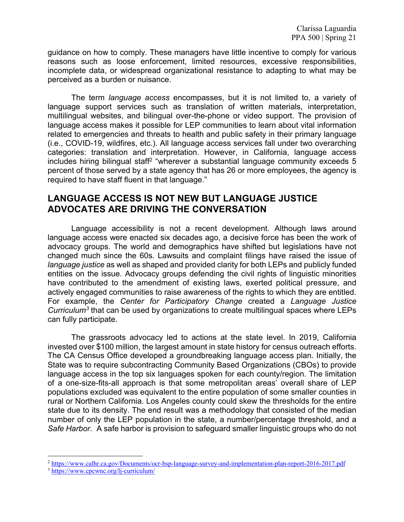guidance on how to comply. These managers have little incentive to comply for various reasons such as loose enforcement, limited resources, excessive responsibilities, incomplete data, or widespread organizational resistance to adapting to what may be perceived as a burden or nuisance.

The term *language access* encompasses, but it is not limited to, a variety of language support services such as translation of written materials, interpretation, multilingual websites, and bilingual over-the-phone or video support. The provision of language access makes it possible for LEP communities to learn about vital information related to emergencies and threats to health and public safety in their primary language (i.e., COVID-19, wildfires, etc.). All language access services fall under two overarching categories: translation and interpretation. However, in California, language access includes hiring bilingual staff<sup>2</sup> "wherever a substantial language community exceeds 5 percent of those served by a state agency that has 26 or more employees, the agency is required to have staff fluent in that language."

# **LANGUAGE ACCESS IS NOT NEW BUT LANGUAGE JUSTICE ADVOCATES ARE DRIVING THE CONVERSATION**

Language accessibility is not a recent development. Although laws around language access were enacted six decades ago, a decisive force has been the work of advocacy groups. The world and demographics have shifted but legislations have not changed much since the 60s. Lawsuits and complaint filings have raised the issue of *language justice* as well as shaped and provided clarity for both LEPs and publicly funded entities on the issue. Advocacy groups defending the civil rights of linguistic minorities have contributed to the amendment of existing laws, exerted political pressure, and actively engaged communities to raise awareness of the rights to which they are entitled. For example, the *Center for Participatory Change* created a *Language Justice Curriculum3* that can be used by organizations to create multilingual spaces where LEPs can fully participate.

The grassroots advocacy led to actions at the state level. In 2019, California invested over \$100 million, the largest amount in state history for census outreach efforts. The CA Census Office developed a groundbreaking language access plan. Initially, the State was to require subcontracting Community Based Organizations (CBOs) to provide language access in the top six languages spoken for each county/region. The limitation of a one-size-fits-all approach is that some metropolitan areas' overall share of LEP populations excluded was equivalent to the entire population of some smaller counties in rural or Northern California. Los Angeles county could skew the thresholds for the entire state due to its density. The end result was a methodology that consisted of the median number of only the LEP population in the state, a number/percentage threshold, and a *Safe Harbor*. A safe harbor is provision to safeguard smaller linguistic groups who do not

<sup>2</sup> https://www.calhr.ca.gov/Documents/ocr-bsp-language-survey-and-implementation-plan-report-2016-2017.pdf

<sup>3</sup> https://www.cpcwnc.org/lj-curriculum/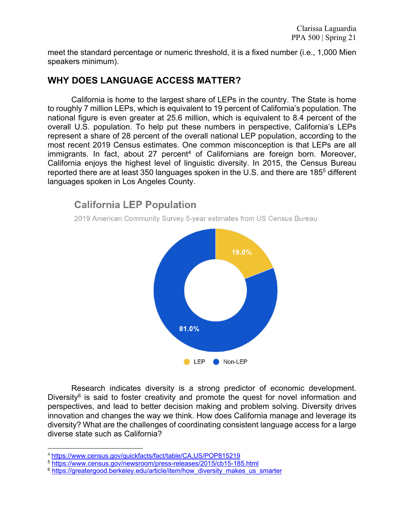meet the standard percentage or numeric threshold, it is a fixed number (i.e., 1,000 Mien speakers minimum).

# **WHY DOES LANGUAGE ACCESS MATTER?**

California is home to the largest share of LEPs in the country. The State is home to roughly 7 million LEPs, which is equivalent to 19 percent of California's population. The national figure is even greater at 25.6 million, which is equivalent to 8.4 percent of the overall U.S. population. To help put these numbers in perspective, California's LEPs represent a share of 28 percent of the overall national LEP population, according to the most recent 2019 Census estimates. One common misconception is that LEPs are all  $imm$  igrants. In fact, about 27 percent<sup>4</sup> of Californians are foreign born. Moreover, California enjoys the highest level of linguistic diversity. In 2015, the Census Bureau reported there are at least 350 languages spoken in the U.S. and there are 1855 different languages spoken in Los Angeles County.

# **California LEP Population** 2019 American Community Survey 5-year estimates from US Census Bureau 19.0% 81.0%

LEP Non-LEP

Research indicates diversity is a strong predictor of economic development. Diversity $6$  is said to foster creativity and promote the quest for novel information and perspectives, and lead to better decision making and problem solving. Diversity drives innovation and changes the way we think. How does California manage and leverage its diversity? What are the challenges of coordinating consistent language access for a large diverse state such as California?

<sup>4</sup> https://www.census.gov/quickfacts/fact/table/CA,US/POP815219

<sup>5</sup> https://www.census.gov/newsroom/press-releases/2015/cb15-185.html

<sup>&</sup>lt;sup>6</sup> https://greatergood.berkeley.edu/article/item/how\_diversity\_makes\_us\_smarter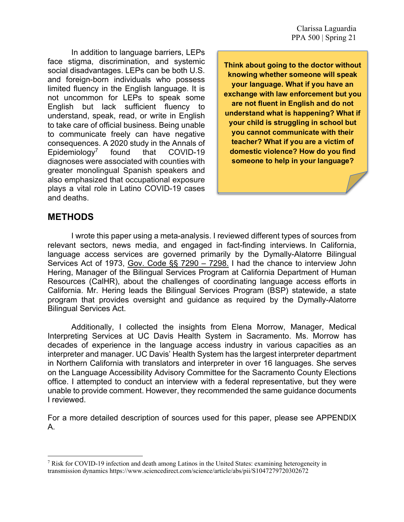In addition to language barriers, LEPs face stigma, discrimination, and systemic social disadvantages. LEPs can be both U.S. and foreign-born individuals who possess limited fluency in the English language. It is not uncommon for LEPs to speak some English but lack sufficient fluency to understand, speak, read, or write in English to take care of official business. Being unable to communicate freely can have negative consequences. A 2020 study in the Annals of Epidemiology7 found that COVID-19 diagnoses were associated with counties with greater monolingual Spanish speakers and also emphasized that occupational exposure plays a vital role in Latino COVID-19 cases and deaths.

**Think about going to the doctor without knowing whether someone will speak your language. What if you have an exchange with law enforcement but you are not fluent in English and do not understand what is happening? What if your child is struggling in school but you cannot communicate with their teacher? What if you are a victim of domestic violence? How do you find someone to help in your language?**

# **METHODS**

I wrote this paper using a meta-analysis. I reviewed different types of sources from relevant sectors, news media, and engaged in fact-finding interviews. In California, language access services are governed primarily by the Dymally-Alatorre Bilingual Services Act of 1973, Gov. Code §§ 7290 – 7298. I had the chance to interview John Hering, Manager of the Bilingual Services Program at California Department of Human Resources (CalHR), about the challenges of coordinating language access efforts in California. Mr. Hering leads the Bilingual Services Program (BSP) statewide, a state program that provides oversight and guidance as required by the Dymally-Alatorre Bilingual Services Act.

Additionally, I collected the insights from Elena Morrow, Manager, Medical Interpreting Services at UC Davis Health System in Sacramento. Ms. Morrow has decades of experience in the language access industry in various capacities as an interpreter and manager. UC Davis' Health System has the largest interpreter department in Northern California with translators and interpreter in over 16 languages. She serves on the Language Accessibility Advisory Committee for the Sacramento County Elections office. I attempted to conduct an interview with a federal representative, but they were unable to provide comment. However, they recommended the same guidance documents I reviewed.

For a more detailed description of sources used for this paper, please see APPENDIX A.

<sup>7</sup> Risk for COVID-19 infection and death among Latinos in the United States: examining heterogeneity in transmission dynamics https://www.sciencedirect.com/science/article/abs/pii/S1047279720302672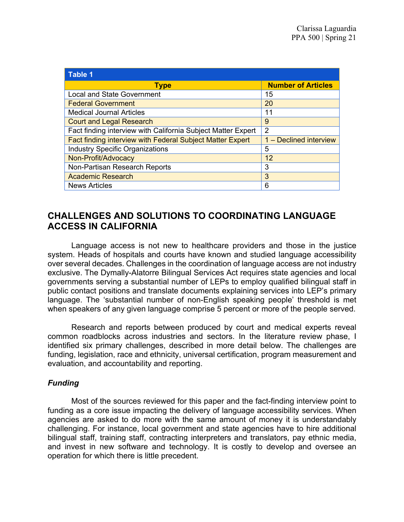| <b>Table 1</b>                                               |                           |
|--------------------------------------------------------------|---------------------------|
| <b>Type</b>                                                  | <b>Number of Articles</b> |
| <b>Local and State Government</b>                            | 15                        |
| <b>Federal Government</b>                                    | 20                        |
| <b>Medical Journal Articles</b>                              | 11                        |
| <b>Court and Legal Research</b>                              | 9                         |
| Fact finding interview with California Subject Matter Expert | 2                         |
| Fact finding interview with Federal Subject Matter Expert    | 1 - Declined interview    |
| <b>Industry Specific Organizations</b>                       | 5                         |
| Non-Profit/Advocacy                                          | 12                        |
| Non-Partisan Research Reports                                | 3                         |
| <b>Academic Research</b>                                     | 3                         |
| <b>News Articles</b>                                         | 6                         |

# **CHALLENGES AND SOLUTIONS TO COORDINATING LANGUAGE ACCESS IN CALIFORNIA**

Language access is not new to healthcare providers and those in the justice system. Heads of hospitals and courts have known and studied language accessibility over several decades. Challenges in the coordination of language access are not industry exclusive. The Dymally-Alatorre Bilingual Services Act requires state agencies and local governments serving a substantial number of LEPs to employ qualified bilingual staff in public contact positions and translate documents explaining services into LEP's primary language. The 'substantial number of non-English speaking people' threshold is met when speakers of any given language comprise 5 percent or more of the people served.

Research and reports between produced by court and medical experts reveal common roadblocks across industries and sectors. In the literature review phase, I identified six primary challenges, described in more detail below. The challenges are funding, legislation, race and ethnicity, universal certification, program measurement and evaluation, and accountability and reporting.

# *Funding*

Most of the sources reviewed for this paper and the fact-finding interview point to funding as a core issue impacting the delivery of language accessibility services. When agencies are asked to do more with the same amount of money it is understandably challenging. For instance, local government and state agencies have to hire additional bilingual staff, training staff, contracting interpreters and translators, pay ethnic media, and invest in new software and technology. It is costly to develop and oversee an operation for which there is little precedent.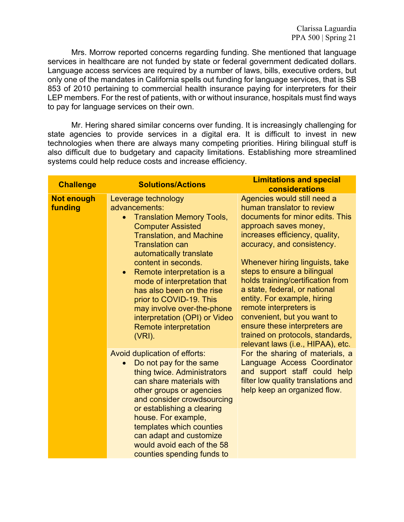Mrs. Morrow reported concerns regarding funding. She mentioned that language services in healthcare are not funded by state or federal government dedicated dollars. Language access services are required by a number of laws, bills, executive orders, but only one of the mandates in California spells out funding for language services, that is SB 853 of 2010 pertaining to commercial health insurance paying for interpreters for their LEP members. For the rest of patients, with or without insurance, hospitals must find ways to pay for language services on their own.

Mr. Hering shared similar concerns over funding. It is increasingly challenging for state agencies to provide services in a digital era. It is difficult to invest in new technologies when there are always many competing priorities. Hiring bilingual stuff is also difficult due to budgetary and capacity limitations. Establishing more streamlined systems could help reduce costs and increase efficiency.

| <b>Challenge</b>             | <b>Solutions/Actions</b>                                                                                                                                                                                                                                                                                                                                                                                                                                          | <b>Limitations and special</b><br>considerations                                                                                                                                                                                                                                                                                                                                                                                                                                                                                |
|------------------------------|-------------------------------------------------------------------------------------------------------------------------------------------------------------------------------------------------------------------------------------------------------------------------------------------------------------------------------------------------------------------------------------------------------------------------------------------------------------------|---------------------------------------------------------------------------------------------------------------------------------------------------------------------------------------------------------------------------------------------------------------------------------------------------------------------------------------------------------------------------------------------------------------------------------------------------------------------------------------------------------------------------------|
| <b>Not enough</b><br>funding | Leverage technology<br>advancements:<br><b>Translation Memory Tools,</b><br><b>Computer Assisted</b><br><b>Translation, and Machine</b><br><b>Translation can</b><br>automatically translate<br>content in seconds.<br>Remote interpretation is a<br>$\bullet$<br>mode of interpretation that<br>has also been on the rise<br>prior to COVID-19. This<br>may involve over-the-phone<br>interpretation (OPI) or Video<br><b>Remote interpretation</b><br>$(VRI)$ . | Agencies would still need a<br>human translator to review<br>documents for minor edits. This<br>approach saves money,<br>increases efficiency, quality,<br>accuracy, and consistency.<br>Whenever hiring linguists, take<br>steps to ensure a bilingual<br>holds training/certification from<br>a state, federal, or national<br>entity. For example, hiring<br>remote interpreters is<br>convenient, but you want to<br>ensure these interpreters are<br>trained on protocols, standards,<br>relevant laws (i.e., HIPAA), etc. |
|                              | Avoid duplication of efforts:<br>Do not pay for the same<br>$\bullet$<br>thing twice. Administrators<br>can share materials with<br>other groups or agencies<br>and consider crowdsourcing<br>or establishing a clearing<br>house. For example,<br>templates which counties<br>can adapt and customize<br>would avoid each of the 58<br>counties spending funds to                                                                                                | For the sharing of materials, a<br>Language Access Coordinator<br>and support staff could help<br>filter low quality translations and<br>help keep an organized flow.                                                                                                                                                                                                                                                                                                                                                           |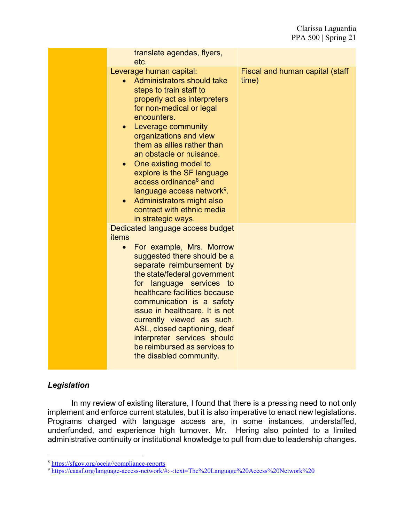| translate agendas, flyers,<br>etc.                                                                                                                                                                                                                                                                                                                                                                                                                                                                                       |                                          |
|--------------------------------------------------------------------------------------------------------------------------------------------------------------------------------------------------------------------------------------------------------------------------------------------------------------------------------------------------------------------------------------------------------------------------------------------------------------------------------------------------------------------------|------------------------------------------|
| Leverage human capital:<br>Administrators should take<br>steps to train staff to<br>properly act as interpreters<br>for non-medical or legal<br>encounters.<br>Leverage community<br>$\bullet$<br>organizations and view<br>them as allies rather than<br>an obstacle or nuisance.<br>• One existing model to<br>explore is the SF language<br>access ordinance <sup>8</sup> and<br>language access network <sup>9</sup> .<br>Administrators might also<br>$\bullet$<br>contract with ethnic media<br>in strategic ways. | Fiscal and human capital (staff<br>time) |
| Dedicated language access budget<br>items<br>For example, Mrs. Morrow<br>$\bullet$<br>suggested there should be a<br>separate reimbursement by<br>the state/federal government<br>for language services to<br>healthcare facilities because<br>communication is a safety<br>issue in healthcare. It is not<br>currently viewed as such.<br>ASL, closed captioning, deaf<br>interpreter services should<br>be reimbursed as services to<br>the disabled community.                                                        |                                          |

# *Legislation*

In my review of existing literature, I found that there is a pressing need to not only implement and enforce current statutes, but it is also imperative to enact new legislations. Programs charged with language access are, in some instances, understaffed, underfunded, and experience high turnover. Mr. Hering also pointed to a limited administrative continuity or institutional knowledge to pull from due to leadership changes.

<sup>8</sup> https://sfgov.org/oceia//compliance-reports

<sup>&</sup>lt;sup>9</sup> https://caasf.org/language-access-network/#:~:text=The%20Language%20Access%20Network%20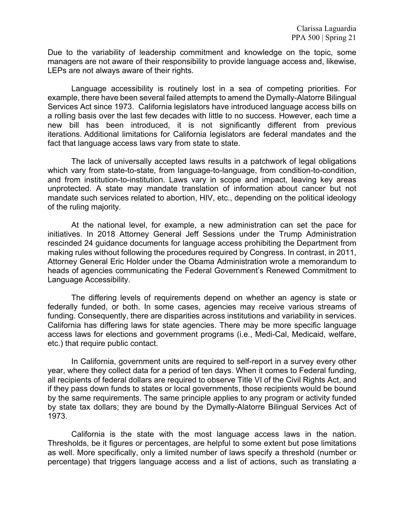Due to the variability of leadership commitment and knowledge on the topic, some managers are not aware of their responsibility to provide language access and, likewise, LEPs are not always aware of their rights.

Language accessibility is routinely lost in a sea of competing priorities. For example, there have been several failed attempts to amend the Dymally-Alatorre Bilingual Services Act since 1973. California legislators have introduced language access bills on a rolling basis over the last few decades with little to no success. However, each time a new bill has been introduced, it is not significantly different from previous iterations. Additional limitations for California legislators are federal mandates and the fact that language access laws vary from state to state.

The lack of universally accepted laws results in a patchwork of legal obligations which vary from state-to-state, from language-to-language, from condition-to-condition, and from institution-to-institution. Laws vary in scope and impact, leaving key areas unprotected. A state may mandate translation of information about cancer but not mandate such services related to abortion, HIV, etc., depending on the political ideology of the ruling majority.

At the national level, for example, a new administration can set the pace for initiatives. In 2018 Attorney General Jeff Sessions under the Trump Administration rescinded 24 guidance documents for language access prohibiting the Department from making rules without following the procedures required by Congress. In contrast, in 2011, Attorney General Eric Holder under the Obama Administration wrote a memorandum to heads of agencies communicating the Federal Government's Renewed Commitment to Language Accessibility.

The differing levels of requirements depend on whether an agency is state or federally funded, or both. In some cases, agencies may receive various streams of funding. Consequently, there are disparities across institutions and variability in services. California has differing laws for state agencies. There may be more specific language access laws for elections and government programs (i.e., Medi-Cal, Medicaid, welfare, etc.) that require public contact.

In California, government units are required to self-report in a survey every other year, where they collect data for a period of ten days. When it comes to Federal funding, all recipients of federal dollars are required to observe Title VI of the Civil Rights Act, and if they pass down funds to states or local governments, those recipients would be bound by the same requirements. The same principle applies to any program or activity funded by state tax dollars; they are bound by the Dymally-Alatorre Bilingual Services Act of 1973.

California is the state with the most language access laws in the nation. Thresholds, be it figures or percentages, are helpful to some extent but pose limitations as well. More specifically, only a limited number of laws specify a threshold (number or percentage) that triggers language access and a list of actions, such as translating a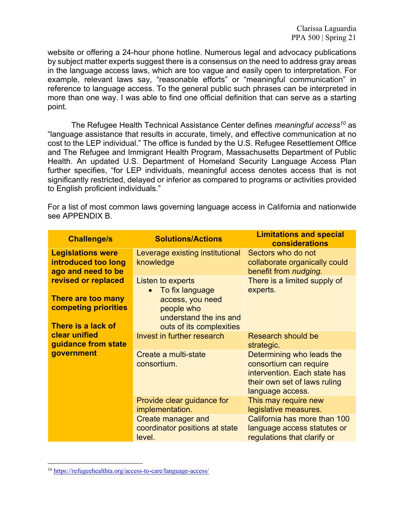website or offering a 24-hour phone hotline. Numerous legal and advocacy publications by subject matter experts suggest there is a consensus on the need to address gray areas in the language access laws, which are too vague and easily open to interpretation. For example, relevant laws say, "reasonable efforts" or "meaningful communication" in reference to language access. To the general public such phrases can be interpreted in more than one way. I was able to find one official definition that can serve as a starting point.

The Refugee Health Technical Assistance Center defines *meaningful access10* as "language assistance that results in accurate, timely, and effective communication at no cost to the LEP individual." The office is funded by the U.S. Refugee Resettlement Office and The Refugee and Immigrant Health Program, Massachusetts Department of Public Health. An updated U.S. Department of Homeland Security Language Access Plan further specifies, "for LEP individuals, meaningful access denotes access that is not significantly restricted, delayed or inferior as compared to programs or activities provided to English proficient individuals."

For a list of most common laws governing language access in California and nationwide see APPENDIX B.

| <b>Challenge/s</b>                                                                             | <b>Solutions/Actions</b>                                                                                                     | <b>Limitations and special</b><br>considerations                                                                                        |
|------------------------------------------------------------------------------------------------|------------------------------------------------------------------------------------------------------------------------------|-----------------------------------------------------------------------------------------------------------------------------------------|
| <b>Legislations were</b><br>introduced too long<br>ago and need to be                          | Leverage existing institutional<br>knowledge                                                                                 | Sectors who do not<br>collaborate organically could<br>benefit from <i>nudging</i> .                                                    |
| revised or replaced<br>There are too many<br><b>competing priorities</b><br>There is a lack of | Listen to experts<br>To fix language<br>access, you need<br>people who<br>understand the ins and<br>outs of its complexities | There is a limited supply of<br>experts.                                                                                                |
| clear unified<br>guidance from state<br>government                                             | Invest in further research                                                                                                   | Research should be<br>strategic.                                                                                                        |
|                                                                                                | Create a multi-state<br>consortium.                                                                                          | Determining who leads the<br>consortium can require<br>intervention. Each state has<br>their own set of laws ruling<br>language access. |
|                                                                                                | Provide clear guidance for<br>implementation.                                                                                | This may require new<br>legislative measures.                                                                                           |
|                                                                                                | <b>Create manager and</b><br>coordinator positions at state<br>level.                                                        | California has more than 100<br>language access statutes or<br>regulations that clarify or                                              |

<sup>10</sup> https://refugeehealthta.org/access-to-care/language-access/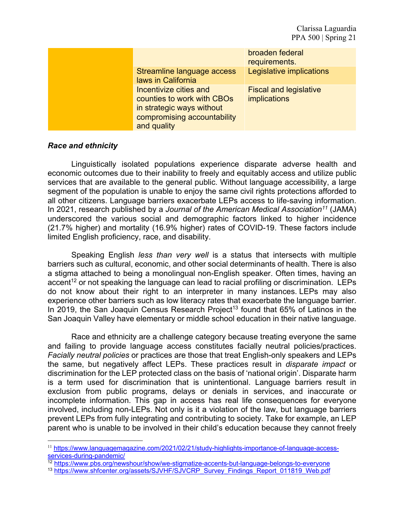|                                                                                                                                 | broaden federal<br>requirements.              |
|---------------------------------------------------------------------------------------------------------------------------------|-----------------------------------------------|
| Streamline language access<br>laws in California                                                                                | Legislative implications                      |
| Incentivize cities and<br>counties to work with CBOs<br>in strategic ways without<br>compromising accountability<br>and quality | <b>Fiscal and legislative</b><br>implications |

# *Race and ethnicity*

Linguistically isolated populations experience disparate adverse health and economic outcomes due to their inability to freely and equitably access and utilize public services that are available to the general public. Without language accessibility, a large segment of the population is unable to enjoy the same civil rights protections afforded to all other citizens. Language barriers exacerbate LEPs access to life-saving information. In 2021, research published by a *Journal of the American Medical Association11* (JAMA) underscored the various social and demographic factors linked to higher incidence (21.7% higher) and mortality (16.9% higher) rates of COVID-19. These factors include limited English proficiency, race, and disability.

Speaking English *less than very well* is a status that intersects with multiple barriers such as cultural, economic, and other social determinants of health. There is also a stigma attached to being a monolingual non-English speaker. Often times, having an accent<sup>12</sup> or not speaking the language can lead to racial profiling or discrimination. LEPs do not know about their right to an interpreter in many instances. LEPs may also experience other barriers such as low literacy rates that exacerbate the language barrier. In 2019, the San Joaquin Census Research Project<sup>13</sup> found that  $65\%$  of Latinos in the San Joaquin Valley have elementary or middle school education in their native language.

Race and ethnicity are a challenge category because treating everyone the same and failing to provide language access constitutes facially neutral policies/practices. *Facially neutral policies* or practices are those that treat English-only speakers and LEPs the same, but negatively affect LEPs. These practices result in *disparate impact* or discrimination for the LEP protected class on the basis of 'national origin'. Disparate harm is a term used for discrimination that is unintentional. Language barriers result in exclusion from public programs, delays or denials in services, and inaccurate or incomplete information. This gap in access has real life consequences for everyone involved, including non-LEPs. Not only is it a violation of the law, but language barriers prevent LEPs from fully integrating and contributing to society. Take for example, an LEP parent who is unable to be involved in their child's education because they cannot freely

<sup>12</sup> https://www.pbs.org/newshour/show/we-stigmatize-accents-but-language-belongs-to-everyone

<sup>11</sup> https://www.languagemagazine.com/2021/02/21/study-highlights-importance-of-language-accessservices-during-pandemic/

<sup>&</sup>lt;sup>13</sup> https://www.shfcenter.org/assets/SJVHF/SJVCRP\_Survey\_Findings\_Report\_011819\_Web.pdf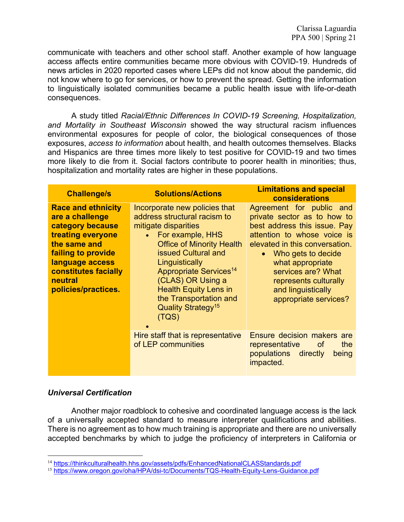communicate with teachers and other school staff. Another example of how language access affects entire communities became more obvious with COVID-19. Hundreds of news articles in 2020 reported cases where LEPs did not know about the pandemic, did not know where to go for services, or how to prevent the spread. Getting the information to linguistically isolated communities became a public health issue with life-or-death consequences.

A study titled *Racial/Ethnic Differences In COVID-19 Screening, Hospitalization, and Mortality in Southeast Wisconsin* showed the way structural racism influences environmental exposures for people of color, the biological consequences of those exposures, *access to information* about health, and health outcomes themselves. Blacks and Hispanics are three times more likely to test positive for COVID-19 and two times more likely to die from it. Social factors contribute to poorer health in minorities; thus, hospitalization and mortality rates are higher in these populations.

| <b>Challenge/s</b>                                                                                                                                                                                              | <b>Solutions/Actions</b>                                                                                                                                                                                                                                                                                                                                            | <b>Limitations and special</b><br>considerations                                                                                                                                                                                                                                                 |
|-----------------------------------------------------------------------------------------------------------------------------------------------------------------------------------------------------------------|---------------------------------------------------------------------------------------------------------------------------------------------------------------------------------------------------------------------------------------------------------------------------------------------------------------------------------------------------------------------|--------------------------------------------------------------------------------------------------------------------------------------------------------------------------------------------------------------------------------------------------------------------------------------------------|
| <b>Race and ethnicity</b><br>are a challenge<br>category because<br>treating everyone<br>the same and<br>failing to provide<br>language access<br><b>constitutes facially</b><br>neutral<br>policies/practices. | Incorporate new policies that<br>address structural racism to<br>mitigate disparities<br>For example, HHS<br>$\bullet$<br><b>Office of Minority Health</b><br>issued Cultural and<br>Linguistically<br>Appropriate Services <sup>14</sup><br>(CLAS) OR Using a<br><b>Health Equity Lens in</b><br>the Transportation and<br>Quality Strategy <sup>15</sup><br>(TQS) | Agreement for public and<br>private sector as to how to<br>best address this issue. Pay<br>attention to whose voice is<br>elevated in this conversation.<br>Who gets to decide<br>what appropriate<br>services are? What<br>represents culturally<br>and linguistically<br>appropriate services? |
|                                                                                                                                                                                                                 | Hire staff that is representative<br>of LEP communities                                                                                                                                                                                                                                                                                                             | Ensure decision makers are<br><b>of</b><br>the<br>representative<br>populations directly<br>being<br>impacted.                                                                                                                                                                                   |

#### *Universal Certification*

Another major roadblock to cohesive and coordinated language access is the lack of a universally accepted standard to measure interpreter qualifications and abilities. There is no agreement as to how much training is appropriate and there are no universally accepted benchmarks by which to judge the proficiency of interpreters in California or

<sup>&</sup>lt;sup>14</sup> https://thinkculturalhealth.hhs.gov/assets/pdfs/EnhancedNationalCLASStandards.pdf

<sup>15</sup> https://www.oregon.gov/oha/HPA/dsi-tc/Documents/TQS-Health-Equity-Lens-Guidance.pdf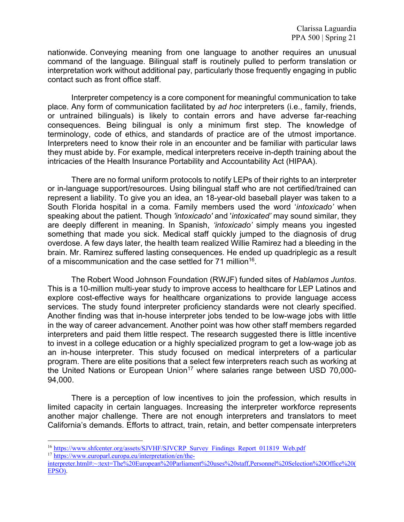nationwide. Conveying meaning from one language to another requires an unusual command of the language. Bilingual staff is routinely pulled to perform translation or interpretation work without additional pay, particularly those frequently engaging in public contact such as front office staff.

Interpreter competency is a core component for meaningful communication to take place. Any form of communication facilitated by *ad hoc* interpreters (i.e., family, friends, or untrained bilinguals) is likely to contain errors and have adverse far-reaching consequences. Being bilingual is only a minimum first step. The knowledge of terminology, code of ethics, and standards of practice are of the utmost importance. Interpreters need to know their role in an encounter and be familiar with particular laws they must abide by. For example, medical interpreters receive in-depth training about the intricacies of the Health Insurance Portability and Accountability Act (HIPAA).

There are no formal uniform protocols to notify LEPs of their rights to an interpreter or in-language support/resources. Using bilingual staff who are not certified/trained can represent a liability. To give you an idea, an 18-year-old baseball player was taken to a South Florida hospital in a coma. Family members used the word '*intoxicado'* when speaking about the patient. Though *'intoxicado'* and '*intoxicated'* may sound similar, they are deeply different in meaning. In Spanish, *'intoxicado'* simply means you ingested something that made you sick. Medical staff quickly jumped to the diagnosis of drug overdose. A few days later, the health team realized Willie Ramirez had a bleeding in the brain. Mr. Ramirez suffered lasting consequences. He ended up quadriplegic as a result of a miscommunication and the case settled for 71 million<sup>16</sup>.

The Robert Wood Johnson Foundation (RWJF) funded sites of *Hablamos Juntos*. This is a 10-million multi-year study to improve access to healthcare for LEP Latinos and explore cost-effective ways for healthcare organizations to provide language access services. The study found interpreter proficiency standards were not clearly specified. Another finding was that in-house interpreter jobs tended to be low-wage jobs with little in the way of career advancement. Another point was how other staff members regarded interpreters and paid them little respect. The research suggested there is little incentive to invest in a college education or a highly specialized program to get a low-wage job as an in-house interpreter. This study focused on medical interpreters of a particular program. There are elite positions that a select few interpreters reach such as working at the United Nations or European Union<sup>17</sup> where salaries range between USD 70,000-94,000.

There is a perception of low incentives to join the profession, which results in limited capacity in certain languages. Increasing the interpreter workforce represents another major challenge. There are not enough interpreters and translators to meet California's demands. Efforts to attract, train, retain, and better compensate interpreters

<sup>&</sup>lt;sup>16</sup> https://www.shfcenter.org/assets/SJVHF/SJVCRP\_Survey\_Findings\_Report\_011819\_Web.pdf <sup>17</sup> https://www.europarl.europa.eu/interpretation/en/the-

interpreter.html#:~:text=The%20European%20Parliament%20uses%20staff,Personnel%20Selection%20Office%20( EPSO).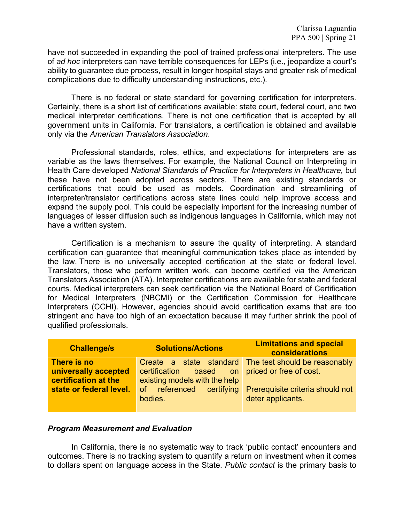have not succeeded in expanding the pool of trained professional interpreters. The use of *ad hoc* interpreters can have terrible consequences for LEPs (i.e., jeopardize a court's ability to guarantee due process, result in longer hospital stays and greater risk of medical complications due to difficulty understanding instructions, etc.).

There is no federal or state standard for governing certification for interpreters. Certainly, there is a short list of certifications available: state court, federal court, and two medical interpreter certifications. There is not one certification that is accepted by all government units in California. For translators, a certification is obtained and available only via the *American Translators Association*.

Professional standards, roles, ethics, and expectations for interpreters are as variable as the laws themselves. For example, the National Council on Interpreting in Health Care developed *National Standards of Practice for Interpreters in Healthcare,* but these have not been adopted across sectors. There are existing standards or certifications that could be used as models. Coordination and streamlining of interpreter/translator certifications across state lines could help improve access and expand the supply pool. This could be especially important for the increasing number of languages of lesser diffusion such as indigenous languages in California, which may not have a written system.

Certification is a mechanism to assure the quality of interpreting. A standard certification can guarantee that meaningful communication takes place as intended by the law. There is no universally accepted certification at the state or federal level. Translators, those who perform written work, can become certified via the American Translators Association (ATA). Interpreter certifications are available for state and federal courts. Medical interpreters can seek certification via the National Board of Certification for Medical Interpreters (NBCMI) or the Certification Commission for Healthcare Interpreters (CCHI). However, agencies should avoid certification exams that are too stringent and have too high of an expectation because it may further shrink the pool of qualified professionals.

| <b>Solutions/Actions</b> | <b>Limitations and special</b><br>considerations                                                                       |
|--------------------------|------------------------------------------------------------------------------------------------------------------------|
|                          | Create a state standard The test should be reasonably                                                                  |
|                          |                                                                                                                        |
|                          |                                                                                                                        |
|                          | Prerequisite criteria should not                                                                                       |
|                          | deter applicants.                                                                                                      |
|                          | certification based on priced or free of cost.<br>existing models with the help<br>of referenced certifying<br>bodies. |

#### *Program Measurement and Evaluation*

In California, there is no systematic way to track 'public contact' encounters and outcomes. There is no tracking system to quantify a return on investment when it comes to dollars spent on language access in the State. *Public contact* is the primary basis to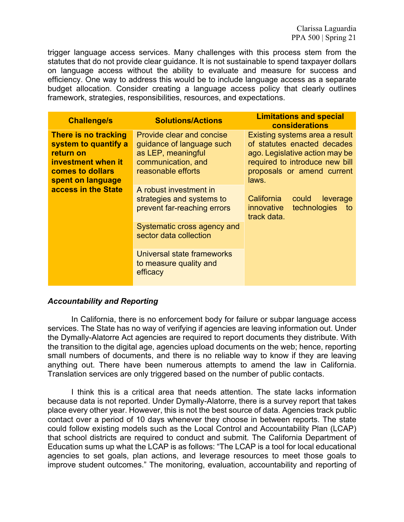trigger language access services. Many challenges with this process stem from the statutes that do not provide clear guidance. It is not sustainable to spend taxpayer dollars on language access without the ability to evaluate and measure for success and efficiency. One way to address this would be to include language access as a separate budget allocation. Consider creating a language access policy that clearly outlines framework, strategies, responsibilities, resources, and expectations.

| <b>Challenge/s</b>                                                                                                                              | <b>Solutions/Actions</b>                                                                                                        | <b>Limitations and special</b><br>considerations                                                                                                                         |  |  |
|-------------------------------------------------------------------------------------------------------------------------------------------------|---------------------------------------------------------------------------------------------------------------------------------|--------------------------------------------------------------------------------------------------------------------------------------------------------------------------|--|--|
| There is no tracking<br>system to quantify a<br>return on<br>investment when it<br>comes to dollars<br>spent on language<br>access in the State | <b>Provide clear and concise</b><br>guidance of language such<br>as LEP, meaningful<br>communication, and<br>reasonable efforts | Existing systems area a result<br>of statutes enacted decades<br>ago. Legislative action may be<br>required to introduce new bill<br>proposals or amend current<br>laws. |  |  |
|                                                                                                                                                 | A robust investment in<br>strategies and systems to<br>prevent far-reaching errors                                              | California<br>could<br>leverage<br>technologies<br>innovative<br>to<br>track data.                                                                                       |  |  |
|                                                                                                                                                 | Systematic cross agency and<br>sector data collection                                                                           |                                                                                                                                                                          |  |  |
|                                                                                                                                                 | Universal state frameworks<br>to measure quality and<br>efficacy                                                                |                                                                                                                                                                          |  |  |

# *Accountability and Reporting*

In California, there is no enforcement body for failure or subpar language access services. The State has no way of verifying if agencies are leaving information out. Under the Dymally-Alatorre Act agencies are required to report documents they distribute. With the transition to the digital age, agencies upload documents on the web; hence, reporting small numbers of documents, and there is no reliable way to know if they are leaving anything out. There have been numerous attempts to amend the law in California. Translation services are only triggered based on the number of public contacts.

I think this is a critical area that needs attention. The state lacks information because data is not reported. Under Dymally-Alatorre, there is a survey report that takes place every other year. However, this is not the best source of data. Agencies track public contact over a period of 10 days whenever they choose in between reports. The state could follow existing models such as the Local Control and Accountability Plan (LCAP) that school districts are required to conduct and submit. The California Department of Education sums up what the LCAP is as follows: "The LCAP is a tool for local educational agencies to set goals, plan actions, and leverage resources to meet those goals to improve student outcomes." The monitoring, evaluation, accountability and reporting of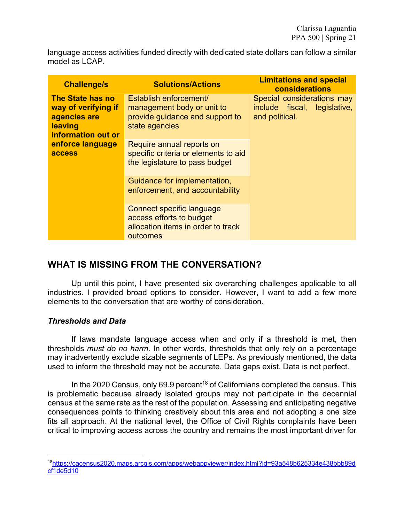language access activities funded directly with dedicated state dollars can follow a similar model as LCAP.

| <b>Challenge/s</b>                                                                       | <b>Solutions/Actions</b>                                                                                  | <b>Limitations and special</b><br>considerations                             |
|------------------------------------------------------------------------------------------|-----------------------------------------------------------------------------------------------------------|------------------------------------------------------------------------------|
| The State has no<br>way of verifying if<br>agencies are<br>leaving<br>information out or | Establish enforcement/<br>management body or unit to<br>provide guidance and support to<br>state agencies | Special considerations may<br>include fiscal, legislative,<br>and political. |
| enforce language<br>access                                                               | Require annual reports on<br>specific criteria or elements to aid<br>the legislature to pass budget       |                                                                              |
|                                                                                          | Guidance for implementation,<br>enforcement, and accountability                                           |                                                                              |
|                                                                                          | Connect specific language<br>access efforts to budget<br>allocation items in order to track<br>outcomes   |                                                                              |

# **WHAT IS MISSING FROM THE CONVERSATION?**

Up until this point, I have presented six overarching challenges applicable to all industries. I provided broad options to consider. However, I want to add a few more elements to the conversation that are worthy of consideration.

# *Thresholds and Data*

If laws mandate language access when and only if a threshold is met, then thresholds *must do no harm*. In other words, thresholds that only rely on a percentage may inadvertently exclude sizable segments of LEPs. As previously mentioned, the data used to inform the threshold may not be accurate. Data gaps exist. Data is not perfect.

In the 2020 Census, only 69.9 percent<sup>18</sup> of Californians completed the census. This is problematic because already isolated groups may not participate in the decennial census at the same rate as the rest of the population. Assessing and anticipating negative consequences points to thinking creatively about this area and not adopting a one size fits all approach. At the national level, the Office of Civil Rights complaints have been critical to improving access across the country and remains the most important driver for

<sup>18</sup>https://cacensus2020.maps.arcgis.com/apps/webappviewer/index.html?id=93a548b625334e438bbb89d cf1de5d10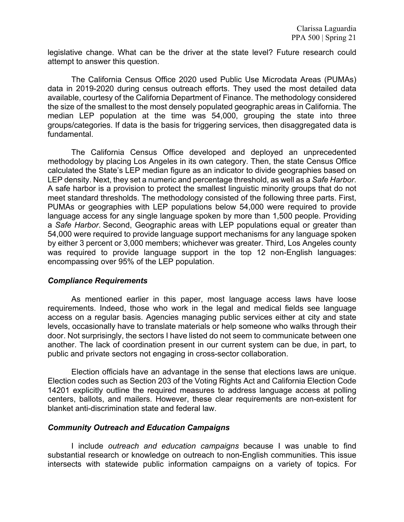legislative change. What can be the driver at the state level? Future research could attempt to answer this question.

The California Census Office 2020 used Public Use Microdata Areas (PUMAs) data in 2019-2020 during census outreach efforts. They used the most detailed data available, courtesy of the California Department of Finance. The methodology considered the size of the smallest to the most densely populated geographic areas in California. The median LEP population at the time was 54,000, grouping the state into three groups/categories. If data is the basis for triggering services, then disaggregated data is fundamental.

The California Census Office developed and deployed an unprecedented methodology by placing Los Angeles in its own category. Then, the state Census Office calculated the State's LEP median figure as an indicator to divide geographies based on LEP density. Next, they set a numeric and percentage threshold, as well as a *Safe Harbor*. A safe harbor is a provision to protect the smallest linguistic minority groups that do not meet standard thresholds. The methodology consisted of the following three parts. First, PUMAs or geographies with LEP populations below 54,000 were required to provide language access for any single language spoken by more than 1,500 people. Providing a *Safe Harbor*. Second, Geographic areas with LEP populations equal or greater than 54,000 were required to provide language support mechanisms for any language spoken by either 3 percent or 3,000 members; whichever was greater. Third, Los Angeles county was required to provide language support in the top 12 non-English languages: encompassing over 95% of the LEP population.

#### *Compliance Requirements*

As mentioned earlier in this paper, most language access laws have loose requirements. Indeed, those who work in the legal and medical fields see language access on a regular basis. Agencies managing public services either at city and state levels, occasionally have to translate materials or help someone who walks through their door. Not surprisingly, the sectors I have listed do not seem to communicate between one another. The lack of coordination present in our current system can be due, in part, to public and private sectors not engaging in cross-sector collaboration.

Election officials have an advantage in the sense that elections laws are unique. Election codes such as Section 203 of the Voting Rights Act and California Election Code 14201 explicitly outline the required measures to address language access at polling centers, ballots, and mailers. However, these clear requirements are non-existent for blanket anti-discrimination state and federal law.

#### *Community Outreach and Education Campaigns*

I include *outreach and education campaigns* because I was unable to find substantial research or knowledge on outreach to non-English communities. This issue intersects with statewide public information campaigns on a variety of topics. For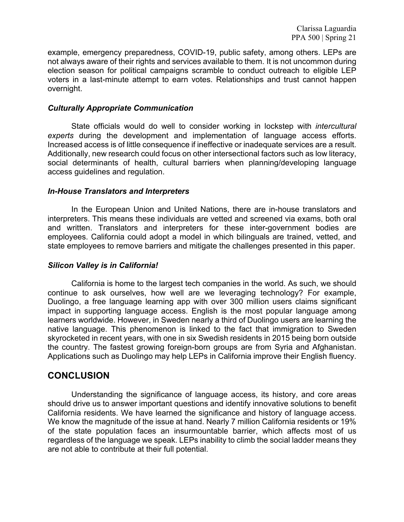example, emergency preparedness, COVID-19, public safety, among others. LEPs are not always aware of their rights and services available to them. It is not uncommon during election season for political campaigns scramble to conduct outreach to eligible LEP voters in a last-minute attempt to earn votes. Relationships and trust cannot happen overnight.

#### *Culturally Appropriate Communication*

State officials would do well to consider working in lockstep with *intercultural experts* during the development and implementation of language access efforts. Increased access is of little consequence if ineffective or inadequate services are a result. Additionally, new research could focus on other intersectional factors such as low literacy, social determinants of health, cultural barriers when planning/developing language access guidelines and regulation.

#### *In-House Translators and Interpreters*

In the European Union and United Nations, there are in-house translators and interpreters. This means these individuals are vetted and screened via exams, both oral and written. Translators and interpreters for these inter-government bodies are employees. California could adopt a model in which bilinguals are trained, vetted, and state employees to remove barriers and mitigate the challenges presented in this paper.

# *Silicon Valley is in California!*

California is home to the largest tech companies in the world. As such, we should continue to ask ourselves, how well are we leveraging technology? For example, Duolingo, a free language learning app with over 300 million users claims significant impact in supporting language access. English is the most popular language among learners worldwide. However, in Sweden nearly a third of Duolingo users are learning the native language. This phenomenon is linked to the fact that immigration to Sweden skyrocketed in recent years, with one in six Swedish residents in 2015 being born outside the country. The fastest growing foreign-born groups are from Syria and Afghanistan. Applications such as Duolingo may help LEPs in California improve their English fluency.

# **CONCLUSION**

Understanding the significance of language access, its history, and core areas should drive us to answer important questions and identify innovative solutions to benefit California residents. We have learned the significance and history of language access. We know the magnitude of the issue at hand. Nearly 7 million California residents or 19% of the state population faces an insurmountable barrier, which affects most of us regardless of the language we speak. LEPs inability to climb the social ladder means they are not able to contribute at their full potential.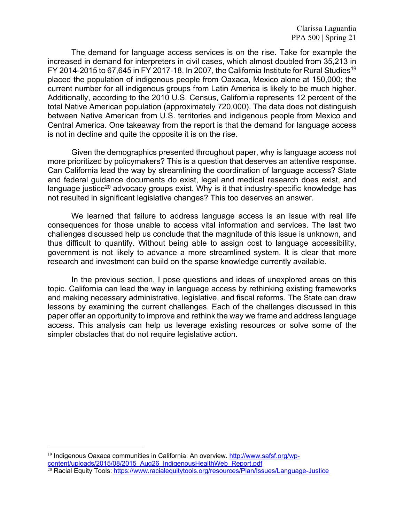The demand for language access services is on the rise. Take for example the increased in demand for interpreters in civil cases, which almost doubled from 35,213 in FY 2014-2015 to 67,645 in FY 2017-18. In 2007, the California Institute for Rural Studies<sup>19</sup> placed the population of indigenous people from Oaxaca, Mexico alone at 150,000; the current number for all indigenous groups from Latin America is likely to be much higher. Additionally, according to the 2010 U.S. Census, California represents 12 percent of the total Native American population (approximately 720,000). The data does not distinguish between Native American from U.S. territories and indigenous people from Mexico and Central America. One takeaway from the report is that the demand for language access is not in decline and quite the opposite it is on the rise.

Given the demographics presented throughout paper, why is language access not more prioritized by policymakers? This is a question that deserves an attentive response. Can California lead the way by streamlining the coordination of language access? State and federal guidance documents do exist, legal and medical research does exist, and language justice<sup>20</sup> advocacy groups exist. Why is it that industry-specific knowledge has not resulted in significant legislative changes? This too deserves an answer.

We learned that failure to address language access is an issue with real life consequences for those unable to access vital information and services. The last two challenges discussed help us conclude that the magnitude of this issue is unknown, and thus difficult to quantify. Without being able to assign cost to language accessibility, government is not likely to advance a more streamlined system. It is clear that more research and investment can build on the sparse knowledge currently available.

In the previous section, I pose questions and ideas of unexplored areas on this topic. California can lead the way in language access by rethinking existing frameworks and making necessary administrative, legislative, and fiscal reforms. The State can draw lessons by examining the current challenges. Each of the challenges discussed in this paper offer an opportunity to improve and rethink the way we frame and address language access. This analysis can help us leverage existing resources or solve some of the simpler obstacles that do not require legislative action.

<sup>&</sup>lt;sup>19</sup> Indigenous Oaxaca communities in California: An overview. http://www.safsf.org/wpcontent/uploads/2015/08/2015\_Aug26\_IndigenousHealthWeb\_Report.pdf

<sup>&</sup>lt;sup>20</sup> Racial Equity Tools: https://www.racialequitytools.org/resources/Plan/Issues/Language-Justice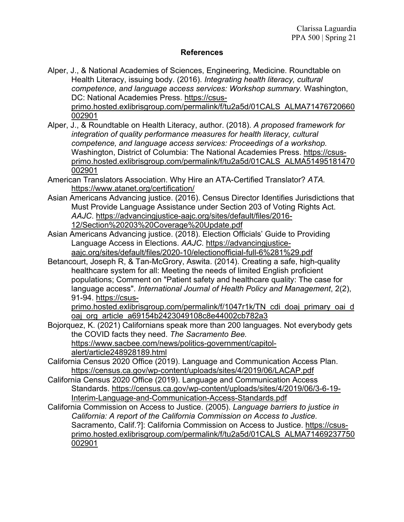#### **References**

- Alper, J., & National Academies of Sciences, Engineering, Medicine. Roundtable on Health Literacy, issuing body. (2016). *Integrating health literacy, cultural competence, and language access services: Workshop summary.* Washington, DC: National Academies Press. https://csusprimo.hosted.exlibrisgroup.com/permalink/f/tu2a5d/01CALS\_ALMA71476720660 002901
- Alper, J., & Roundtable on Health Literacy, author. (2018). *A proposed framework for integration of quality performance measures for health literacy, cultural competence, and language access services: Proceedings of a workshop.* Washington, District of Columbia: The National Academies Press. https://csusprimo.hosted.exlibrisgroup.com/permalink/f/tu2a5d/01CALS\_ALMA51495181470 002901
- American Translators Association. Why Hire an ATA-Certified Translator? *ATA.*  https://www.atanet.org/certification/
- Asian Americans Advancing justice. (2016). Census Director Identifies Jurisdictions that Must Provide Language Assistance under Section 203 of Voting Rights Act. *AAJC*. https://advancingjustice-aajc.org/sites/default/files/2016- 12/Section%20203%20Coverage%20Update.pdf
- Asian Americans Advancing justice. (2018). Election Officials' Guide to Providing Language Access in Elections. *AAJC*. https://advancingjusticeaajc.org/sites/default/files/2020-10/electionofficial-full-6%281%29.pdf
- Betancourt, Joseph R, & Tan-McGrory, Aswita. (2014). Creating a safe, high-quality healthcare system for all: Meeting the needs of limited English proficient populations; Comment on "Patient safety and healthcare quality: The case for language access". *International Journal of Health Policy and Management*, 2(2), 91-94. https://csus-

primo.hosted.exlibrisgroup.com/permalink/f/1047r1k/TN\_cdi\_doaj\_primary\_oai\_d oaj\_org\_article\_a69154b2423049108c8e44002cb782a3

- Bojorquez, K. (2021) Californians speak more than 200 languages. Not everybody gets the COVID facts they need. *The Sacramento Bee.* https://www.sacbee.com/news/politics-government/capitolalert/article248928189.html
- California Census 2020 Office (2019). Language and Communication Access Plan. https://census.ca.gov/wp-content/uploads/sites/4/2019/06/LACAP.pdf
- California Census 2020 Office (2019). Language and Communication Access Standards. https://census.ca.gov/wp-content/uploads/sites/4/2019/06/3-6-19- Interim-Language-and-Communication-Access-Standards.pdf
- California Commission on Access to Justice. (2005). *Language barriers to justice in California: A report of the California Commission on Access to Justice.* Sacramento, Calif.?]: California Commission on Access to Justice. https://csusprimo.hosted.exlibrisgroup.com/permalink/f/tu2a5d/01CALS\_ALMA71469237750 002901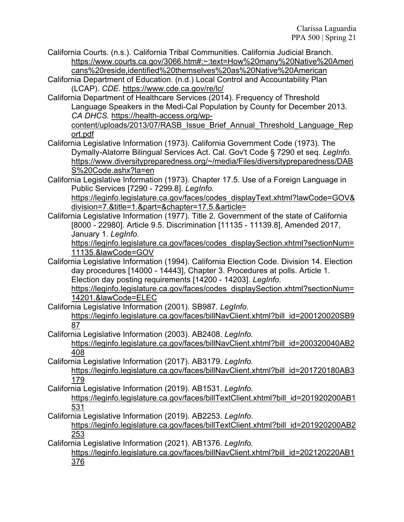- California Courts. (n.s.). California Tribal Communities. California Judicial Branch. https://www.courts.ca.gov/3066.htm#:~:text=How%20many%20Native%20Ameri cans%20reside,identified%20themselves%20as%20Native%20American
- California Department of Education. (n.d.) Local Control and Accountability Plan (LCAP). *CDE.* https://www.cde.ca.gov/re/lc/
- California Department of Healthcare Services (2014). Frequency of Threshold Language Speakers in the Medi-Cal Population by County for December 2013. *CA DHCS.* https://health-access.org/wpcontent/uploads/2013/07/RASB\_Issue\_Brief\_Annual\_Threshold\_Language\_Rep

ort.pdf

- California Legislative Information (1973). California Government Code (1973). The Dymally-Alatorre Bilingual Services Act. Cal. Gov't Code § 7290 et seq. *LegInfo.*  https://www.diversitypreparedness.org/~/media/Files/diversitypreparedness/DAB S%20Code.ashx?la=en
- California Legislative Information (1973). Chapter 17.5. Use of a Foreign Language in Public Services [7290 - 7299.8]. *LegInfo.*

https://leginfo.legislature.ca.gov/faces/codes\_displayText.xhtml?lawCode=GOV& division=7.&title=1.&part=&chapter=17.5.&article=

California Legislative Information (1977). Title 2. Government of the state of California [8000 - 22980]. Article 9.5. Discrimination [11135 - 11139.8], Amended 2017, January 1. *LegInfo.*

https://leginfo.legislature.ca.gov/faces/codes\_displaySection.xhtml?sectionNum= 11135.&lawCode=GOV

California Legislative Information (1994). California Election Code. Division 14. Election day procedures [14000 - 14443], Chapter 3. Procedures at polls. Article 1. Election day posting requirements [14200 - 14203]. *LegInfo.*

https://leginfo.legislature.ca.gov/faces/codes\_displaySection.xhtml?sectionNum= 14201.&lawCode=ELEC

- California Legislative Information (2001). SB987. *LegInfo.* https://leginfo.legislature.ca.gov/faces/billNavClient.xhtml?bill\_id=200120020SB9 87
- California Legislative Information (2003). AB2408. *LegInfo.* https://leginfo.legislature.ca.gov/faces/billNavClient.xhtml?bill\_id=200320040AB2 408
- California Legislative Information (2017). AB3179. *LegInfo.* https://leginfo.legislature.ca.gov/faces/billNavClient.xhtml?bill\_id=201720180AB3 179
- California Legislative Information (2019). AB1531. *LegInfo.* https://leginfo.legislature.ca.gov/faces/billTextClient.xhtml?bill\_id=201920200AB1 531
- California Legislative Information (2019). AB2253. *LegInfo.* https://leginfo.legislature.ca.gov/faces/billTextClient.xhtml?bill\_id=201920200AB2 253
- California Legislative Information (2021). AB1376. *LegInfo.* https://leginfo.legislature.ca.gov/faces/billNavClient.xhtml?bill\_id=202120220AB1 376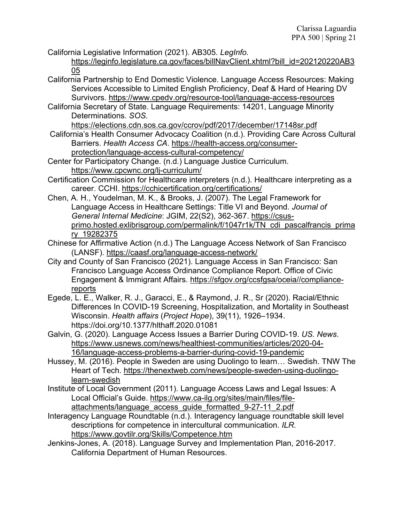California Legislative Information (2021). AB305. *LegInfo.*

https://leginfo.legislature.ca.gov/faces/billNavClient.xhtml?bill\_id=202120220AB3 05

California Partnership to End Domestic Violence. Language Access Resources: Making Services Accessible to Limited English Proficiency, Deaf & Hard of Hearing DV Survivors. https://www.cpedv.org/resource-tool/language-access-resources

California Secretary of State. Language Requirements: 14201, Language Minority Determinations. *SOS*.

https://elections.cdn.sos.ca.gov/ccrov/pdf/2017/december/17148sr.pdf

California's Health Consumer Advocacy Coalition (n.d.). Providing Care Across Cultural Barriers. *Health Access CA*. https://health-access.org/consumerprotection/language-access-cultural-competency/

Center for Participatory Change. (n.d.) Language Justice Curriculum. https://www.cpcwnc.org/lj-curriculum/

- Certification Commission for Healthcare interpreters (n.d.). Healthcare interpreting as a career. CCHI. https://cchicertification.org/certifications/
- Chen, A. H., Youdelman, M. K., & Brooks, J. (2007). The Legal Framework for Language Access in Healthcare Settings: Title VI and Beyond. *Journal of General Internal Medicine*: JGIM, 22(S2), 362-367. https://csusprimo.hosted.exlibrisgroup.com/permalink/f/1047r1k/TN\_cdi\_pascalfrancis\_prima ry\_19282375
- Chinese for Affirmative Action (n.d.) The Language Access Network of San Francisco (LANSF). https://caasf.org/language-access-network/
- City and County of San Francisco (2021). Language Access in San Francisco: San Francisco Language Access Ordinance Compliance Report. Office of Civic Engagement & Immigrant Affairs. https://sfgov.org/ccsfgsa/oceia//compliancereports
- Egede, L. E., Walker, R. J., Garacci, E., & Raymond, J. R., Sr (2020). Racial/Ethnic Differences In COVID-19 Screening, Hospitalization, and Mortality in Southeast Wisconsin. *Health affairs* (*Project Hope*), 39(11), 1926–1934. https://doi.org/10.1377/hlthaff.2020.01081
- Galvin, G. (2020). Language Access Issues a Barrier During COVID-19. *US. News*. https://www.usnews.com/news/healthiest-communities/articles/2020-04- 16/language-access-problems-a-barrier-during-covid-19-pandemic
- Hussey, M. (2016). People in Sweden are using Duolingo to learn… Swedish. TNW The Heart of Tech. https://thenextweb.com/news/people-sweden-using-duolingolearn-swedish
- Institute of Local Government (2011). Language Access Laws and Legal Issues: A Local Official's Guide. https://www.ca-ilg.org/sites/main/files/fileattachments/language\_access\_guide\_formatted\_9-27-11\_2.pdf
- Interagency Language Roundtable (n.d.). Interagency language roundtable skill level descriptions for competence in intercultural communication. *ILR.* https://www.govtilr.org/Skills/Competence.htm
- Jenkins-Jones, A. (2018). Language Survey and Implementation Plan, 2016-2017. California Department of Human Resources.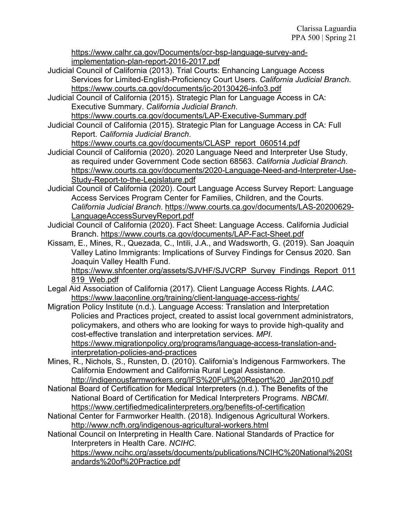https://www.calhr.ca.gov/Documents/ocr-bsp-language-survey-andimplementation-plan-report-2016-2017.pdf

- Judicial Council of California (2013). Trial Courts: Enhancing Language Access Services for Limited-English-Proficiency Court Users. *California Judicial Branch*. https://www.courts.ca.gov/documents/jc-20130426-info3.pdf
- Judicial Council of California (2015). Strategic Plan for Language Access in CA: Executive Summary. *California Judicial Branch*.

https://www.courts.ca.gov/documents/LAP-Executive-Summary.pdf

Judicial Council of California (2015). Strategic Plan for Language Access in CA: Full Report. *California Judicial Branch*.

https://www.courts.ca.gov/documents/CLASP\_report\_060514.pdf

- Judicial Council of California (2020). 2020 Language Need and Interpreter Use Study, as required under Government Code section 68563. *California Judicial Branch.* https://www.courts.ca.gov/documents/2020-Language-Need-and-Interpreter-Use-Study-Report-to-the-Legislature.pdf
- Judicial Council of California (2020). Court Language Access Survey Report: Language Access Services Program Center for Families, Children, and the Courts. *California Judicial Branch*. https://www.courts.ca.gov/documents/LAS-20200629- LanguageAccessSurveyReport.pdf
- Judicial Council of California (2020). Fact Sheet: Language Access. California Judicial Branch. https://www.courts.ca.gov/documents/LAP-Fact-Sheet.pdf
- Kissam, E., Mines, R., Quezada, C., Intili, J.A., and Wadsworth, G. (2019). San Joaquin Valley Latino Immigrants: Implications of Survey Findings for Census 2020. San Joaquin Valley Health Fund.

https://www.shfcenter.org/assets/SJVHF/SJVCRP\_Survey\_Findings\_Report\_011 819\_Web.pdf

- Legal Aid Association of California (2017). Client Language Access Rights. *LAAC.*  https://www.laaconline.org/training/client-language-access-rights/
- Migration Policy Institute (n.d.). Language Access: Translation and Interpretation Policies and Practices project, created to assist local government administrators, policymakers, and others who are looking for ways to provide high-quality and cost-effective translation and interpretation services. *MPI*. https://www.migrationpolicy.org/programs/language-access-translation-andinterpretation-policies-and-practices
- Mines, R., Nichols, S., Runsten, D. (2010). California's Indigenous Farmworkers. The California Endowment and California Rural Legal Assistance. http://indigenousfarmworkers.org/IFS%20Full%20Report%20\_Jan2010.pdf
- National Board of Certification for Medical Interpreters (n.d.). The Benefits of the National Board of Certification for Medical Interpreters Programs. *NBCMI*. https://www.certifiedmedicalinterpreters.org/benefits-of-certification
- National Center for Farmworker Health. (2018). Indigenous Agricultural Workers. http://www.ncfh.org/indigenous-agricultural-workers.html
- National Council on Interpreting in Health Care. National Standards of Practice for Interpreters in Health Care. *NCIHC.*

https://www.ncihc.org/assets/documents/publications/NCIHC%20National%20St andards%20of%20Practice.pdf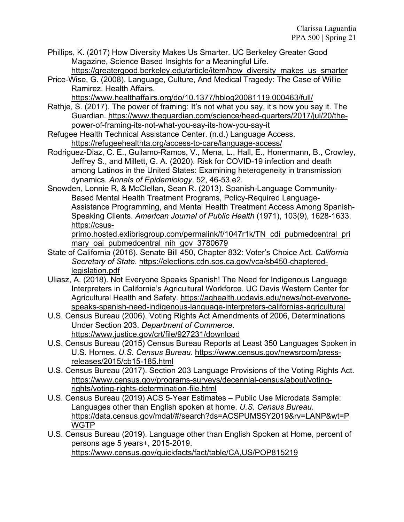Phillips, K. (2017) How Diversity Makes Us Smarter. UC Berkeley Greater Good Magazine, Science Based Insights for a Meaningful Life.

- https://greatergood.berkeley.edu/article/item/how\_diversity\_makes\_us\_smarter
- Price-Wise, G. (2008). Language, Culture, And Medical Tragedy: The Case of Willie Ramirez. Health Affairs.

https://www.healthaffairs.org/do/10.1377/hblog20081119.000463/full/

- Rathje, S. (2017). The power of framing: It's not what you say, it's how you say it. The Guardian. https://www.theguardian.com/science/head-quarters/2017/jul/20/thepower-of-framing-its-not-what-you-say-its-how-you-say-it
- Refugee Health Technical Assistance Center. (n.d.) Language Access. https://refugeehealthta.org/access-to-care/language-access/
- Rodriguez-Diaz, C. E., Guilamo-Ramos, V., Mena, L., Hall, E., Honermann, B., Crowley, Jeffrey S., and Millett, G. A. (2020). Risk for COVID-19 infection and death among Latinos in the United States: Examining heterogeneity in transmission dynamics. *Annals of Epidemiology*, 52, 46-53.e2.
- Snowden, Lonnie R, & McClellan, Sean R. (2013). Spanish-Language Community-Based Mental Health Treatment Programs, Policy-Required Language-Assistance Programming, and Mental Health Treatment Access Among Spanish-Speaking Clients. *American Journal of Public Health* (1971), 103(9), 1628-1633. https://csus-

primo.hosted.exlibrisgroup.com/permalink/f/1047r1k/TN\_cdi\_pubmedcentral\_pri mary oai pubmedcentral nih gov 3780679

- State of California (2016). Senate Bill 450, Chapter 832: Voter's Choice Act. *California Secretary of State*. https://elections.cdn.sos.ca.gov/vca/sb450-chapteredlegislation.pdf
- Uliasz, A. (2018). Not Everyone Speaks Spanish! The Need for Indigenous Language Interpreters in California's Agricultural Workforce. UC Davis Western Center for Agricultural Health and Safety. https://aghealth.ucdavis.edu/news/not-everyonespeaks-spanish-need-indigenous-language-interpreters-californias-agricultural
- U.S. Census Bureau (2006). Voting Rights Act Amendments of 2006, Determinations Under Section 203. *Department of Commerce.* https://www.justice.gov/crt/file/927231/download
- U.S. Census Bureau (2015) Census Bureau Reports at Least 350 Languages Spoken in U.S. Homes. *U.S. Census Bureau*. https://www.census.gov/newsroom/pressreleases/2015/cb15-185.html
- U.S. Census Bureau (2017). Section 203 Language Provisions of the Voting Rights Act. https://www.census.gov/programs-surveys/decennial-census/about/votingrights/voting-rights-determination-file.html
- U.S. Census Bureau (2019) ACS 5-Year Estimates Public Use Microdata Sample: Languages other than English spoken at home. *U.S. Census Bureau.*  https://data.census.gov/mdat/#/search?ds=ACSPUMS5Y2019&rv=LANP&wt=P **WGTP**
- U.S. Census Bureau (2019). Language other than English Spoken at Home, percent of persons age 5 years+, 2015-2019. https://www.census.gov/quickfacts/fact/table/CA,US/POP815219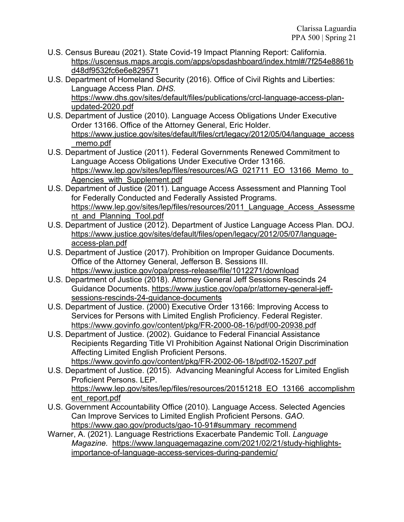- U.S. Census Bureau (2021). State Covid-19 Impact Planning Report: California. https://uscensus.maps.arcgis.com/apps/opsdashboard/index.html#/7f254e8861b d48df9532fc6e6e829571
- U.S. Department of Homeland Security (2016). Office of Civil Rights and Liberties: Language Access Plan. *DHS.* https://www.dhs.gov/sites/default/files/publications/crcl-language-access-planupdated-2020.pdf
- U.S. Department of Justice (2010). Language Access Obligations Under Executive Order 13166. Office of the Attorney General, Eric Holder. https://www.justice.gov/sites/default/files/crt/legacy/2012/05/04/language\_access \_memo.pdf
- U.S. Department of Justice (2011). Federal Governments Renewed Commitment to Language Access Obligations Under Executive Order 13166. https://www.lep.gov/sites/lep/files/resources/AG\_021711\_EO\_13166\_Memo\_to Agencies\_with\_Supplement.pdf
- U.S. Department of Justice (2011). Language Access Assessment and Planning Tool for Federally Conducted and Federally Assisted Programs. https://www.lep.gov/sites/lep/files/resources/2011 Language Access Assessme nt\_and\_Planning\_Tool.pdf
- U.S. Department of Justice (2012). Department of Justice Language Access Plan. DOJ. https://www.justice.gov/sites/default/files/open/legacy/2012/05/07/languageaccess-plan.pdf
- U.S. Department of Justice (2017). Prohibition on Improper Guidance Documents. Office of the Attorney General, Jefferson B. Sessions III. https://www.justice.gov/opa/press-release/file/1012271/download
- U.S. Department of Justice (2018). Attorney General Jeff Sessions Rescinds 24 Guidance Documents. https://www.justice.gov/opa/pr/attorney-general-jeffsessions-rescinds-24-guidance-documents
- U.S. Department of Justice. (2000) Executive Order 13166: Improving Access to Services for Persons with Limited English Proficiency. Federal Register. https://www.govinfo.gov/content/pkg/FR-2000-08-16/pdf/00-20938.pdf
- U.S. Department of Justice. (2002). Guidance to Federal Financial Assistance Recipients Regarding Title VI Prohibition Against National Origin Discrimination Affecting Limited English Proficient Persons. https://www.govinfo.gov/content/pkg/FR-2002-06-18/pdf/02-15207.pdf
- U.S. Department of Justice. (2015). Advancing Meaningful Access for Limited English Proficient Persons. LEP. https://www.lep.gov/sites/lep/files/resources/20151218\_EO\_13166\_accomplishm ent\_report.pdf
- U.S. Government Accountability Office (2010). Language Access. Selected Agencies Can Improve Services to Limited English Proficient Persons. *GAO*. https://www.gao.gov/products/gao-10-91#summary\_recommend
- Warner, A. (2021). Language Restrictions Exacerbate Pandemic Toll. *Language Magazine.* https://www.languagemagazine.com/2021/02/21/study-highlightsimportance-of-language-access-services-during-pandemic/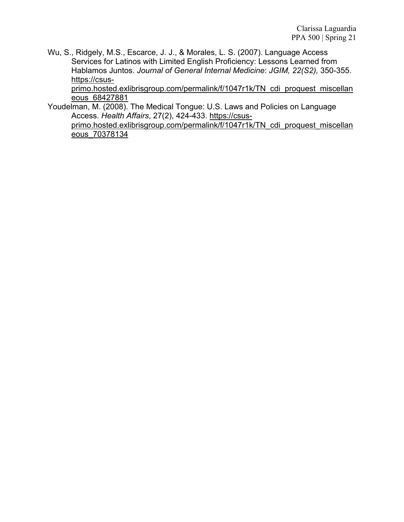Wu, S., Ridgely, M.S., Escarce, J. J., & Morales, L. S. (2007). Language Access Services for Latinos with Limited English Proficiency: Lessons Learned from Hablamos Juntos. *Journal of General Internal Medicine*: *JGIM, 22(S2),* 350-355. https://csus-

primo.hosted.exlibrisgroup.com/permalink/f/1047r1k/TN\_cdi\_proquest\_miscellan eous\_68427881

Youdelman, M. (2008). The Medical Tongue: U.S. Laws and Policies on Language Access. *Health Affairs*, 27(2), 424-433. https://csus-

primo.hosted.exlibrisgroup.com/permalink/f/1047r1k/TN\_cdi\_proquest\_miscellan eous\_70378134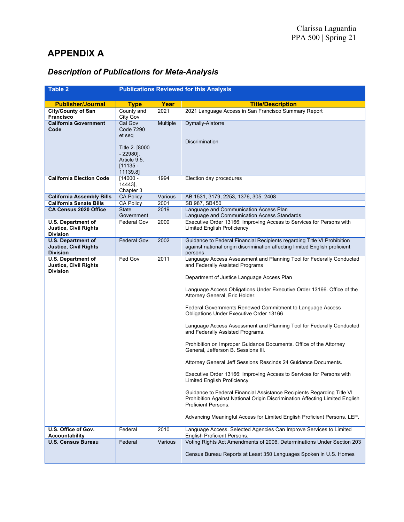# **APPENDIX A**

| <b>Table 2</b>                                                               | <b>Publications Reviewed for this Analysis</b>                                                                   |          |                                                                                                                                                                                                                                                                                                                                                                                                                                                                                                                                                                                                                                                                                                                                                                                                                                                                                                                                                                                                                                                 |
|------------------------------------------------------------------------------|------------------------------------------------------------------------------------------------------------------|----------|-------------------------------------------------------------------------------------------------------------------------------------------------------------------------------------------------------------------------------------------------------------------------------------------------------------------------------------------------------------------------------------------------------------------------------------------------------------------------------------------------------------------------------------------------------------------------------------------------------------------------------------------------------------------------------------------------------------------------------------------------------------------------------------------------------------------------------------------------------------------------------------------------------------------------------------------------------------------------------------------------------------------------------------------------|
|                                                                              |                                                                                                                  |          |                                                                                                                                                                                                                                                                                                                                                                                                                                                                                                                                                                                                                                                                                                                                                                                                                                                                                                                                                                                                                                                 |
| <b>Publisher/Journal</b>                                                     | <b>Type</b>                                                                                                      | Year     | <b>Title/Description</b>                                                                                                                                                                                                                                                                                                                                                                                                                                                                                                                                                                                                                                                                                                                                                                                                                                                                                                                                                                                                                        |
| <b>City/County of San</b><br><b>Francisco</b>                                | County and<br>City Gov                                                                                           | 2021     | 2021 Language Access in San Francisco Summary Report                                                                                                                                                                                                                                                                                                                                                                                                                                                                                                                                                                                                                                                                                                                                                                                                                                                                                                                                                                                            |
| <b>California Government</b><br>Code                                         | Cal Gov<br><b>Code 7290</b><br>et seq<br>Title 2. [8000<br>$-22980$ ].<br>Article 9.5.<br>$[11135 -$<br>11139.8] | Multiple | Dymally-Alatorre<br>Discrimination                                                                                                                                                                                                                                                                                                                                                                                                                                                                                                                                                                                                                                                                                                                                                                                                                                                                                                                                                                                                              |
| <b>California Election Code</b>                                              | $[14000 -$<br>14443],<br>Chapter 3                                                                               | 1994     | Election day procedures                                                                                                                                                                                                                                                                                                                                                                                                                                                                                                                                                                                                                                                                                                                                                                                                                                                                                                                                                                                                                         |
| <b>California Assembly Bills</b>                                             | <b>CA Policy</b>                                                                                                 | Various  | AB 1531, 3179, 2253, 1376, 305, 2408                                                                                                                                                                                                                                                                                                                                                                                                                                                                                                                                                                                                                                                                                                                                                                                                                                                                                                                                                                                                            |
| <b>California Senate Bills</b>                                               | <b>CA Policy</b>                                                                                                 | 2001     | SB 987, SB450                                                                                                                                                                                                                                                                                                                                                                                                                                                                                                                                                                                                                                                                                                                                                                                                                                                                                                                                                                                                                                   |
| CA Census 2020 Office                                                        | <b>State</b><br>Government                                                                                       | 2019     | Language and Communication Access Plan<br>Language and Communication Access Standards                                                                                                                                                                                                                                                                                                                                                                                                                                                                                                                                                                                                                                                                                                                                                                                                                                                                                                                                                           |
| <b>U.S. Department of</b><br><b>Justice, Civil Rights</b><br><b>Division</b> | <b>Federal Gov</b>                                                                                               | 2000     | Executive Order 13166: Improving Access to Services for Persons with<br><b>Limited English Proficiency</b>                                                                                                                                                                                                                                                                                                                                                                                                                                                                                                                                                                                                                                                                                                                                                                                                                                                                                                                                      |
| <b>U.S. Department of</b><br><b>Justice, Civil Rights</b><br><b>Division</b> | Federal Gov.                                                                                                     | 2002     | Guidance to Federal Financial Recipients regarding Title VI Prohibition<br>against national origin discrimination affecting limited English proficient<br>persons                                                                                                                                                                                                                                                                                                                                                                                                                                                                                                                                                                                                                                                                                                                                                                                                                                                                               |
| <b>U.S. Department of</b><br>Justice, Civil Rights<br><b>Division</b>        | Fed Gov                                                                                                          | 2011     | Language Access Assessment and Planning Tool for Federally Conducted<br>and Federally Assisted Programs<br>Department of Justice Language Access Plan<br>Language Access Obligations Under Executive Order 13166. Office of the<br>Attorney General, Eric Holder.<br>Federal Governments Renewed Commitment to Language Access<br><b>Obligations Under Executive Order 13166</b><br>Language Access Assessment and Planning Tool for Federally Conducted<br>and Federally Assisted Programs.<br>Prohibition on Improper Guidance Documents. Office of the Attorney<br>General, Jefferson B. Sessions III.<br>Attorney General Jeff Sessions Rescinds 24 Guidance Documents.<br>Executive Order 13166: Improving Access to Services for Persons with<br>Limited English Proficiency<br>Guidance to Federal Financial Assistance Recipients Regarding Title VI<br>Prohibition Against National Origin Discrimination Affecting Limited English<br>Proficient Persons.<br>Advancing Meaningful Access for Limited English Proficient Persons. LEP. |
| U.S. Office of Gov.<br><b>Accountability</b>                                 | Federal                                                                                                          | 2010     | Language Access. Selected Agencies Can Improve Services to Limited<br><b>English Proficient Persons.</b>                                                                                                                                                                                                                                                                                                                                                                                                                                                                                                                                                                                                                                                                                                                                                                                                                                                                                                                                        |
| <b>U.S. Census Bureau</b>                                                    | Federal                                                                                                          | Various  | Voting Rights Act Amendments of 2006, Determinations Under Section 203<br>Census Bureau Reports at Least 350 Languages Spoken in U.S. Homes                                                                                                                                                                                                                                                                                                                                                                                                                                                                                                                                                                                                                                                                                                                                                                                                                                                                                                     |

# *Description of Publications for Meta-Analysis*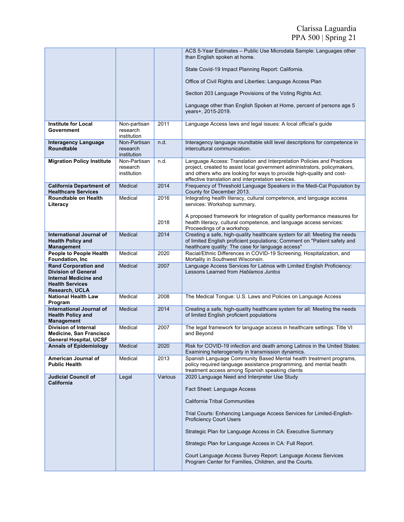|                                                                                                                     |                                         |         | ACS 5-Year Estimates - Public Use Microdata Sample: Languages other<br>than English spoken at home.                                                                                                                                                                                |
|---------------------------------------------------------------------------------------------------------------------|-----------------------------------------|---------|------------------------------------------------------------------------------------------------------------------------------------------------------------------------------------------------------------------------------------------------------------------------------------|
|                                                                                                                     |                                         |         | State Covid-19 Impact Planning Report: California.                                                                                                                                                                                                                                 |
|                                                                                                                     |                                         |         | Office of Civil Rights and Liberties: Language Access Plan                                                                                                                                                                                                                         |
|                                                                                                                     |                                         |         | Section 203 Language Provisions of the Voting Rights Act.                                                                                                                                                                                                                          |
|                                                                                                                     |                                         |         | Language other than English Spoken at Home, percent of persons age 5<br>years+, 2015-2019.                                                                                                                                                                                         |
| <b>Institute for Local</b><br>Government                                                                            | Non-partisan<br>research<br>institution | 2011    | Language Access laws and legal issues: A local official's guide                                                                                                                                                                                                                    |
| <b>Interagency Language</b><br><b>Roundtable</b>                                                                    | Non-Partisan<br>research<br>institution | n.d.    | Interagency language roundtable skill level descriptions for competence in<br>intercultural communication.                                                                                                                                                                         |
| <b>Migration Policy Institute</b>                                                                                   | Non-Partisan<br>research<br>institution | n.d.    | Language Access: Translation and Interpretation Policies and Practices<br>project, created to assist local government administrators, policymakers,<br>and others who are looking for ways to provide high-quality and cost-<br>effective translation and interpretation services. |
| <b>California Department of</b><br><b>Healthcare Services</b>                                                       | Medical                                 | 2014    | Frequency of Threshold Language Speakers in the Medi-Cal Population by<br>County for December 2013.                                                                                                                                                                                |
| <b>Roundtable on Health</b><br>Literacy                                                                             | Medical                                 | 2016    | Integrating health literacy, cultural competence, and language access<br>services: Workshop summary.                                                                                                                                                                               |
|                                                                                                                     |                                         | 2018    | A proposed framework for integration of quality performance measures for<br>health literacy, cultural competence, and language access services:<br>Proceedings of a workshop.                                                                                                      |
| International Journal of<br><b>Health Policy and</b><br><b>Management</b>                                           | Medical                                 | 2014    | Creating a safe, high-quality healthcare system for all: Meeting the needs<br>of limited English proficient populations; Comment on "Patient safety and<br>healthcare quality: The case for language access"                                                                       |
| <b>People to People Health</b><br>Foundation, Inc.                                                                  | Medical                                 | 2020    | Racial/Ethnic Differences in COVID-19 Screening, Hospitalization, and<br>Mortality in Southwest Wisconsin.                                                                                                                                                                         |
| <b>Rand Corporation and</b><br><b>Division of General</b><br><b>Internal Medicine and</b><br><b>Health Services</b> | Medical                                 | 2007    | Language Access Services for Latinos with Limited English Proficiency:<br>Lessons Learned from Hablamos Juntos                                                                                                                                                                     |
| Research, UCLA<br><b>National Health Law</b><br>Program                                                             | Medical                                 | 2008    | The Medical Tongue: U.S. Laws and Policies on Language Access                                                                                                                                                                                                                      |
| <b>International Journal of</b><br><b>Health Policy and</b><br><b>Management</b>                                    | Medical                                 | 2014    | Creating a safe, high-quality healthcare system for all: Meeting the needs<br>of limited English proficient populations                                                                                                                                                            |
| <b>Division of Internal</b><br><b>Medicine, San Francisco</b><br><b>General Hospital, UCSF</b>                      | Medical                                 | 2007    | The legal framework for language access in healthcare settings: Title VI<br>and Beyond                                                                                                                                                                                             |
| <b>Annals of Epidemiology</b>                                                                                       | Medical                                 | 2020    | Risk for COVID-19 infection and death among Latinos in the United States:<br>Examining heterogeneity in transmission dynamics.                                                                                                                                                     |
| American Journal of<br><b>Public Health</b>                                                                         | Medical                                 | 2013    | Spanish Language Community Based Mental health treatment programs,<br>policy required language assistance programming, and mental health<br>treatment access among Spanish speaking clients                                                                                        |
| <b>Judicial Council of</b><br>California                                                                            | Legal                                   | Various | 2020 Language Need and Interpreter Use Study                                                                                                                                                                                                                                       |
|                                                                                                                     |                                         |         | Fact Sheet: Language Access                                                                                                                                                                                                                                                        |
|                                                                                                                     |                                         |         | <b>California Tribal Communities</b>                                                                                                                                                                                                                                               |
|                                                                                                                     |                                         |         | Trial Courts: Enhancing Language Access Services for Limited-English-<br><b>Proficiency Court Users</b>                                                                                                                                                                            |
|                                                                                                                     |                                         |         | Strategic Plan for Language Access in CA: Executive Summary                                                                                                                                                                                                                        |
|                                                                                                                     |                                         |         | Strategic Plan for Language Access in CA: Full Report.                                                                                                                                                                                                                             |
|                                                                                                                     |                                         |         | Court Language Access Survey Report: Language Access Services<br>Program Center for Families, Children, and the Courts.                                                                                                                                                            |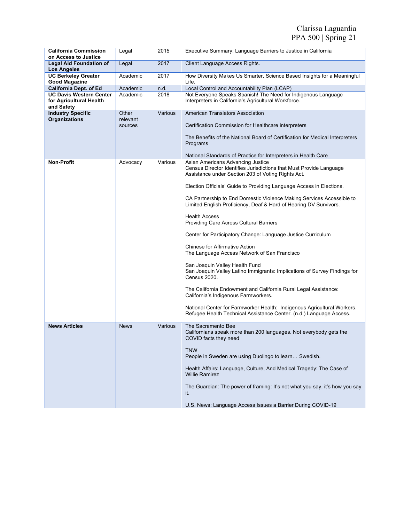| <b>California Commission</b><br>on Access to Justice | Legal             | 2015    | Executive Summary: Language Barriers to Justice in California                                                                                  |
|------------------------------------------------------|-------------------|---------|------------------------------------------------------------------------------------------------------------------------------------------------|
| <b>Legal Aid Foundation of</b>                       | Legal             | 2017    | Client Language Access Rights.                                                                                                                 |
| <b>Los Angeles</b>                                   |                   |         |                                                                                                                                                |
| <b>UC Berkeley Greater</b><br><b>Good Magazine</b>   | Academic          | 2017    | How Diversity Makes Us Smarter, Science Based Insights for a Meaningful<br>Life.                                                               |
| California Dept. of Ed                               | Academic          | n.d.    | Local Control and Accountability Plan (LCAP)                                                                                                   |
| <b>UC Davis Western Center</b>                       | Academic          | 2018    | Not Everyone Speaks Spanish! The Need for Indigenous Language                                                                                  |
| for Agricultural Health                              |                   |         | Interpreters in California's Agricultural Workforce.                                                                                           |
| and Safety                                           |                   |         |                                                                                                                                                |
| <b>Industry Specific</b><br><b>Organizations</b>     | Other<br>relevant | Various | American Translators Association                                                                                                               |
|                                                      | sources           |         | Certification Commission for Healthcare interpreters                                                                                           |
|                                                      |                   |         |                                                                                                                                                |
|                                                      |                   |         | The Benefits of the National Board of Certification for Medical Interpreters<br>Programs                                                       |
|                                                      |                   |         | National Standards of Practice for Interpreters in Health Care                                                                                 |
| <b>Non-Profit</b>                                    | Advocacy          | Various | Asian Americans Advancing Justice                                                                                                              |
|                                                      |                   |         | Census Director Identifies Jurisdictions that Must Provide Language<br>Assistance under Section 203 of Voting Rights Act.                      |
|                                                      |                   |         | Election Officials' Guide to Providing Language Access in Elections.                                                                           |
|                                                      |                   |         | CA Partnership to End Domestic Violence Making Services Accessible to<br>Limited English Proficiency, Deaf & Hard of Hearing DV Survivors.     |
|                                                      |                   |         | <b>Health Access</b><br>Providing Care Across Cultural Barriers                                                                                |
|                                                      |                   |         | Center for Participatory Change: Language Justice Curriculum                                                                                   |
|                                                      |                   |         | <b>Chinese for Affirmative Action</b><br>The Language Access Network of San Francisco                                                          |
|                                                      |                   |         | San Joaquin Valley Health Fund<br>San Joaquin Valley Latino Immigrants: Implications of Survey Findings for<br><b>Census 2020.</b>             |
|                                                      |                   |         | The California Endowment and California Rural Legal Assistance:<br>California's Indigenous Farmworkers.                                        |
|                                                      |                   |         | National Center for Farmworker Health: Indigenous Agricultural Workers.<br>Refugee Health Technical Assistance Center. (n.d.) Language Access. |
| <b>News Articles</b>                                 | <b>News</b>       | Various | The Sacramento Bee<br>Californians speak more than 200 languages. Not everybody gets the<br>COVID facts they need                              |
|                                                      |                   |         | <b>TNW</b><br>People in Sweden are using Duolingo to learn Swedish.                                                                            |
|                                                      |                   |         | Health Affairs: Language, Culture, And Medical Tragedy: The Case of<br><b>Willie Ramirez</b>                                                   |
|                                                      |                   |         | The Guardian: The power of framing: It's not what you say, it's how you say<br>it.                                                             |
|                                                      |                   |         | U.S. News: Language Access Issues a Barrier During COVID-19                                                                                    |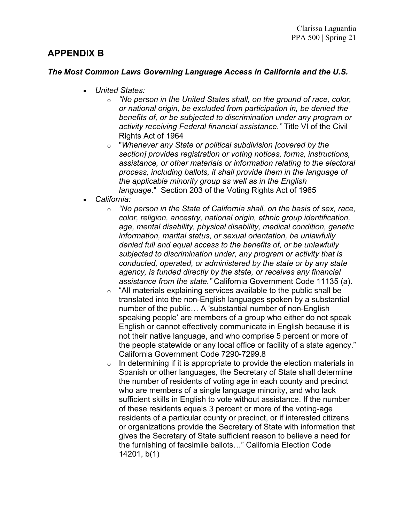# **APPENDIX B**

# *The Most Common Laws Governing Language Access in California and the U.S.*

- *United States:*
	- o *"No person in the United States shall, on the ground of race, color, or national origin, be excluded from participation in, be denied the benefits of, or be subjected to discrimination under any program or activity receiving Federal financial assistance."* Title VI of the Civil Rights Act of 1964
	- o "*Whenever any State or political subdivision [covered by the section] provides registration or voting notices, forms, instructions, assistance, or other materials or information relating to the electoral process, including ballots, it shall provide them in the language of the applicable minority group as well as in the English language*." Section 203 of the Voting Rights Act of 1965
- *California:*
	- o *"No person in the State of California shall, on the basis of sex, race, color, religion, ancestry, national origin, ethnic group identification, age, mental disability, physical disability, medical condition, genetic information, marital status, or sexual orientation, be unlawfully denied full and equal access to the benefits of, or be unlawfully subjected to discrimination under, any program or activity that is conducted, operated, or administered by the state or by any state agency, is funded directly by the state, or receives any financial assistance from the state."* California Government Code 11135 (a).
	- o "All materials explaining services available to the public shall be translated into the non-English languages spoken by a substantial number of the public… A 'substantial number of non-English speaking people' are members of a group who either do not speak English or cannot effectively communicate in English because it is not their native language, and who comprise 5 percent or more of the people statewide or any local office or facility of a state agency." California Government Code 7290-7299.8
	- $\circ$  In determining if it is appropriate to provide the election materials in Spanish or other languages, the Secretary of State shall determine the number of residents of voting age in each county and precinct who are members of a single language minority, and who lack sufficient skills in English to vote without assistance. If the number of these residents equals 3 percent or more of the voting-age residents of a particular county or precinct, or if interested citizens or organizations provide the Secretary of State with information that gives the Secretary of State sufficient reason to believe a need for the furnishing of facsimile ballots…" California Election Code 14201, b(1)